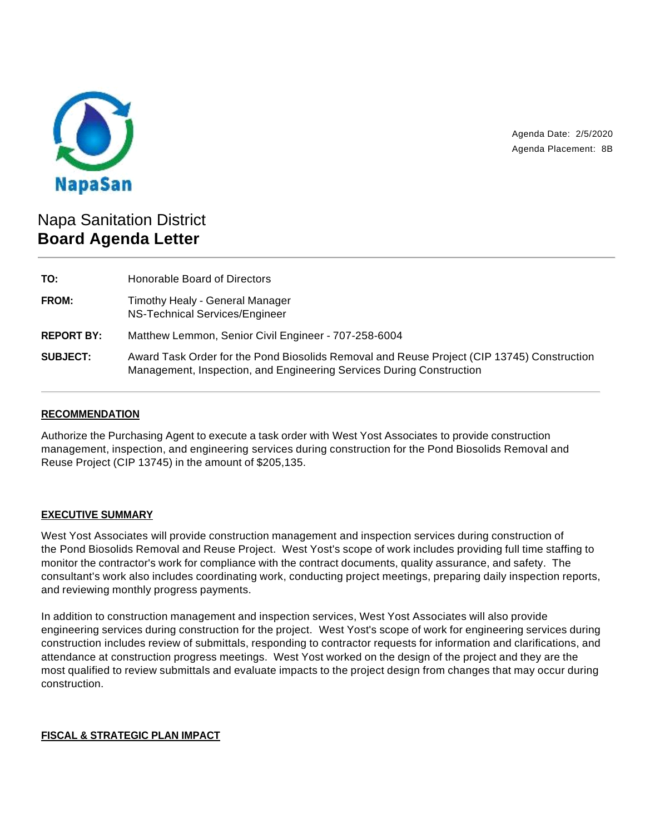

Agenda Date: 2/5/2020 Agenda Placement: 8B

# Napa Sanitation District **Board Agenda Letter**

| TO:               | Honorable Board of Directors                                                                                                                                       |
|-------------------|--------------------------------------------------------------------------------------------------------------------------------------------------------------------|
| <b>FROM:</b>      | Timothy Healy - General Manager<br>NS-Technical Services/Engineer                                                                                                  |
| <b>REPORT BY:</b> | Matthew Lemmon, Senior Civil Engineer - 707-258-6004                                                                                                               |
| <b>SUBJECT:</b>   | Award Task Order for the Pond Biosolids Removal and Reuse Project (CIP 13745) Construction<br>Management, Inspection, and Engineering Services During Construction |

## **RECOMMENDATION**

Authorize the Purchasing Agent to execute a task order with West Yost Associates to provide construction management, inspection, and engineering services during construction for the Pond Biosolids Removal and Reuse Project (CIP 13745) in the amount of \$205,135.

#### **EXECUTIVE SUMMARY**

West Yost Associates will provide construction management and inspection services during construction of the Pond Biosolids Removal and Reuse Project. West Yost's scope of work includes providing full time staffing to monitor the contractor's work for compliance with the contract documents, quality assurance, and safety. The consultant's work also includes coordinating work, conducting project meetings, preparing daily inspection reports, and reviewing monthly progress payments.

In addition to construction management and inspection services, West Yost Associates will also provide engineering services during construction for the project. West Yost's scope of work for engineering services during construction includes review of submittals, responding to contractor requests for information and clarifications, and attendance at construction progress meetings. West Yost worked on the design of the project and they are the most qualified to review submittals and evaluate impacts to the project design from changes that may occur during construction.

#### **FISCAL & STRATEGIC PLAN IMPACT**